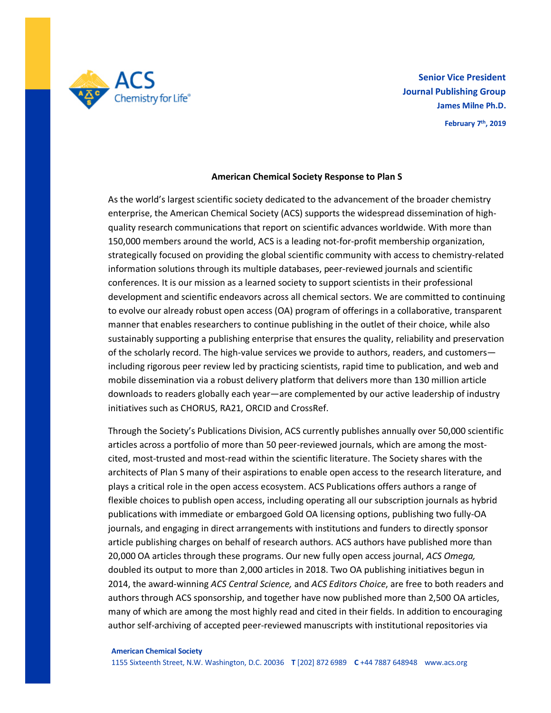

**Senior Vice President Journal Publishing Group James Milne Ph.D. February 7th, 2019**

#### **American Chemical Society Response to Plan S**

As the world's largest scientific society dedicated to the advancement of the broader chemistry enterprise, the American Chemical Society (ACS) supports the widespread dissemination of highquality research communications that report on scientific advances worldwide. With more than 150,000 members around the world, ACS is a leading not-for-profit membership organization, strategically focused on providing the global scientific community with access to chemistry-related information solutions through its multiple databases, peer-reviewed journals and scientific conferences. It is our mission as a learned society to support scientists in their professional development and scientific endeavors across all chemical sectors. We are committed to continuing to evolve our already robust open access (OA) program of offerings in a collaborative, transparent manner that enables researchers to continue publishing in the outlet of their choice, while also sustainably supporting a publishing enterprise that ensures the quality, reliability and preservation of the scholarly record. The high-value services we provide to authors, readers, and customers including rigorous peer review led by practicing scientists, rapid time to publication, and web and mobile dissemination via a robust delivery platform that delivers more than 130 million article downloads to readers globally each year—are complemented by our active leadership of industry initiatives such as CHORUS, RA21, ORCID and CrossRef.

Through the Society's Publications Division, ACS currently publishes annually over 50,000 scientific articles across a portfolio of more than 50 peer-reviewed journals, which are among the mostcited, most-trusted and most-read within the scientific literature. The Society shares with the architects of Plan S many of their aspirations to enable open access to the research literature, and plays a critical role in the open access ecosystem. ACS Publications offers authors a range of flexible choices to publish open access, including operating all our subscription journals as hybrid publications with immediate or embargoed Gold OA licensing options, publishing two fully-OA journals, and engaging in direct arrangements with institutions and funders to directly sponsor article publishing charges on behalf of research authors. ACS authors have published more than 20,000 OA articles through these programs. Our new fully open access journal, *ACS Omega,* doubled its output to more than 2,000 articles in 2018. Two OA publishing initiatives begun in 2014, the award-winning *ACS Central Science,* and *ACS Editors Choice*, are free to both readers and authors through ACS sponsorship, and together have now published more than 2,500 OA articles, many of which are among the most highly read and cited in their fields. In addition to encouraging author self-archiving of accepted peer-reviewed manuscripts with institutional repositories via

**American Chemical Society**

1155 Sixteenth Street, N.W. Washington, D.C. 20036 **T** [202] 872 6989 **C** +44 7887 648948 www.acs.org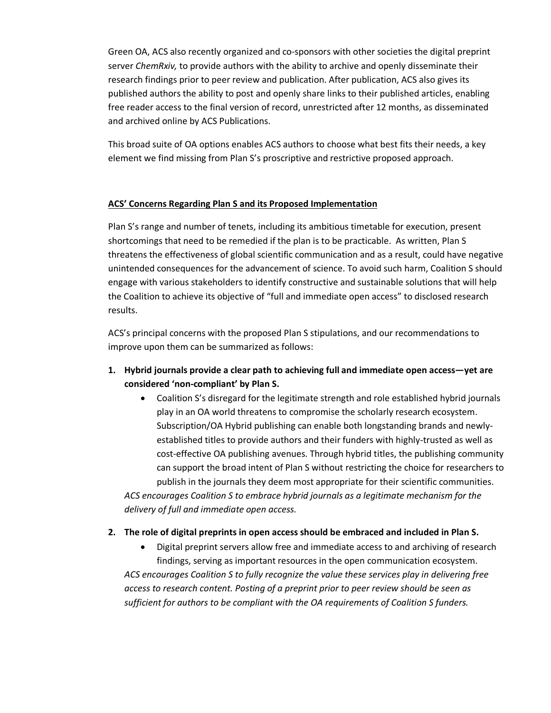Green OA, ACS also recently organized and co-sponsors with other societies the digital preprint server *ChemRxiv,* to provide authors with the ability to archive and openly disseminate their research findings prior to peer review and publication. After publication, ACS also gives its published authors the ability to post and openly share links to their published articles, enabling free reader access to the final version of record, unrestricted after 12 months, as disseminated and archived online by ACS Publications.

This broad suite of OA options enables ACS authors to choose what best fits their needs, a key element we find missing from Plan S's proscriptive and restrictive proposed approach.

#### **ACS' Concerns Regarding Plan S and its Proposed Implementation**

Plan S's range and number of tenets, including its ambitious timetable for execution, present shortcomings that need to be remedied if the plan is to be practicable. As written, Plan S threatens the effectiveness of global scientific communication and as a result, could have negative unintended consequences for the advancement of science. To avoid such harm, Coalition S should engage with various stakeholders to identify constructive and sustainable solutions that will help the Coalition to achieve its objective of "full and immediate open access" to disclosed research results.

ACS's principal concerns with the proposed Plan S stipulations, and our recommendations to improve upon them can be summarized as follows:

- **1. Hybrid journals provide a clear path to achieving full and immediate open access—yet are considered 'non-compliant' by Plan S.** 
	- Coalition S's disregard for the legitimate strength and role established hybrid journals play in an OA world threatens to compromise the scholarly research ecosystem. Subscription/OA Hybrid publishing can enable both longstanding brands and newlyestablished titles to provide authors and their funders with highly-trusted as well as cost-effective OA publishing avenues. Through hybrid titles, the publishing community can support the broad intent of Plan S without restricting the choice for researchers to publish in the journals they deem most appropriate for their scientific communities. *ACS encourages Coalition S to embrace hybrid journals as a legitimate mechanism for the delivery of full and immediate open access.*

## **2. The role of digital preprints in open access should be embraced and included in Plan S.**

• Digital preprint servers allow free and immediate access to and archiving of research findings, serving as important resources in the open communication ecosystem. *ACS encourages Coalition S to fully recognize the value these services play in delivering free access to research content. Posting of a preprint prior to peer review should be seen as sufficient for authors to be compliant with the OA requirements of Coalition S funders.*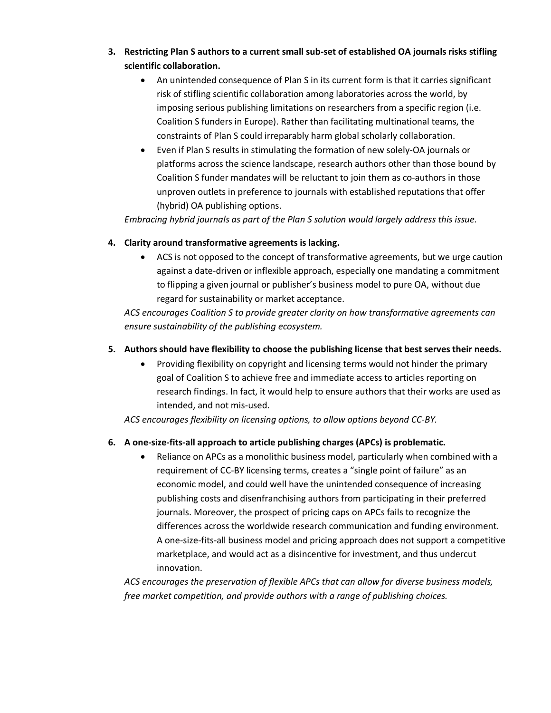# **3. Restricting Plan S authors to a current small sub-set of established OA journals risks stifling scientific collaboration.**

- An unintended consequence of Plan S in its current form is that it carries significant risk of stifling scientific collaboration among laboratories across the world, by imposing serious publishing limitations on researchers from a specific region (i.e. Coalition S funders in Europe). Rather than facilitating multinational teams, the constraints of Plan S could irreparably harm global scholarly collaboration.
- Even if Plan S results in stimulating the formation of new solely-OA journals or platforms across the science landscape, research authors other than those bound by Coalition S funder mandates will be reluctant to join them as co-authors in those unproven outlets in preference to journals with established reputations that offer (hybrid) OA publishing options.

*Embracing hybrid journals as part of the Plan S solution would largely address this issue.* 

## **4. Clarity around transformative agreements is lacking.**

• ACS is not opposed to the concept of transformative agreements, but we urge caution against a date-driven or inflexible approach, especially one mandating a commitment to flipping a given journal or publisher's business model to pure OA, without due regard for sustainability or market acceptance.

*ACS encourages Coalition S to provide greater clarity on how transformative agreements can ensure sustainability of the publishing ecosystem.*

# **5. Authors should have flexibility to choose the publishing license that best serves their needs.**

• Providing flexibility on copyright and licensing terms would not hinder the primary goal of Coalition S to achieve free and immediate access to articles reporting on research findings. In fact, it would help to ensure authors that their works are used as intended, and not mis-used.

*ACS encourages flexibility on licensing options, to allow options beyond CC-BY.*

## **6. A one-size-fits-all approach to article publishing charges (APCs) is problematic.**

• Reliance on APCs as a monolithic business model, particularly when combined with a requirement of CC-BY licensing terms, creates a "single point of failure" as an economic model, and could well have the unintended consequence of increasing publishing costs and disenfranchising authors from participating in their preferred journals. Moreover, the prospect of pricing caps on APCs fails to recognize the differences across the worldwide research communication and funding environment. A one-size-fits-all business model and pricing approach does not support a competitive marketplace, and would act as a disincentive for investment, and thus undercut innovation.

*ACS encourages the preservation of flexible APCs that can allow for diverse business models, free market competition, and provide authors with a range of publishing choices.*